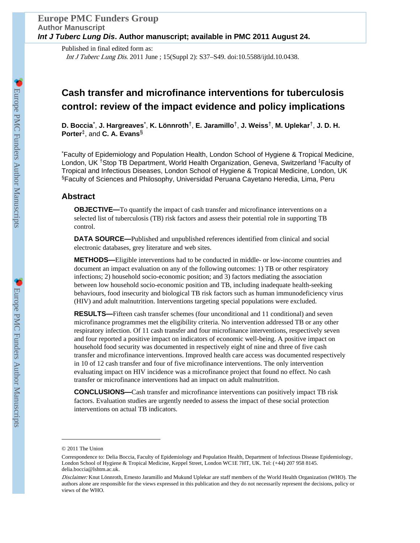Published in final edited form as: Int J Tuberc Lung Dis. 2011 June ; 15(Suppl 2): S37–S49. doi:10.5588/ijtld.10.0438.

## **Cash transfer and microfinance interventions for tuberculosis control: review of the impact evidence and policy implications**

**D. Boccia**\* , **J. Hargreaves**\* , **K. Lönnroth**†, **E. Jaramillo**†, **J. Weiss**†, **M. Uplekar**†, **J. D. H. Porter**‡, and **C. A. Evans**§

\*Faculty of Epidemiology and Population Health, London School of Hygiene & Tropical Medicine, London, UK <sup>†</sup>Stop TB Department, World Health Organization, Geneva, Switzerland <sup>‡</sup>Faculty of Tropical and Infectious Diseases, London School of Hygiene & Tropical Medicine, London, UK §Faculty of Sciences and Philosophy, Universidad Peruana Cayetano Heredia, Lima, Peru

## **Abstract**

**OBJECTIVE—**To quantify the impact of cash transfer and microfinance interventions on a selected list of tuberculosis (TB) risk factors and assess their potential role in supporting TB control.

**DATA SOURCE—**Published and unpublished references identified from clinical and social electronic databases, grey literature and web sites.

**METHODS—**Eligible interventions had to be conducted in middle- or low-income countries and document an impact evaluation on any of the following outcomes: 1) TB or other respiratory infections; 2) household socio-economic position; and 3) factors mediating the association between low household socio-economic position and TB, including inadequate health-seeking behaviours, food insecurity and biological TB risk factors such as human immunodeficiency virus (HIV) and adult malnutrition. Interventions targeting special populations were excluded.

**RESULTS—**Fifteen cash transfer schemes (four unconditional and 11 conditional) and seven microfinance programmes met the eligibility criteria. No intervention addressed TB or any other respiratory infection. Of 11 cash transfer and four microfinance interventions, respectively seven and four reported a positive impact on indicators of economic well-being. A positive impact on household food security was documented in respectively eight of nine and three of five cash transfer and microfinance interventions. Improved health care access was documented respectively in 10 of 12 cash transfer and four of five microfinance interventions. The only intervention evaluating impact on HIV incidence was a microfinance project that found no effect. No cash transfer or microfinance interventions had an impact on adult malnutrition.

**CONCLUSIONS—**Cash transfer and microfinance interventions can positively impact TB risk factors. Evaluation studies are urgently needed to assess the impact of these social protection interventions on actual TB indicators.

<sup>© 2011</sup> The Union

Correspondence to: Delia Boccia, Faculty of Epidemiology and Population Health, Department of Infectious Disease Epidemiology, London School of Hygiene & Tropical Medicine, Keppel Street, London WC1E 7HT, UK. Tel: (+44) 207 958 8145. delia.boccia@lshtm.ac.uk.

Disclaimer: Knut Lönnroth, Ernesto Jaramillo and Mukund Uplekar are staff members of the World Health Organization (WHO). The authors alone are responsible for the views expressed in this publication and they do not necessarily represent the decisions, policy or views of the WHO.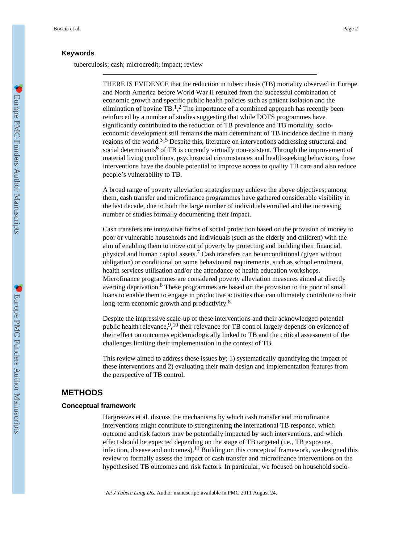## **Keywords**

tuberculosis; cash; microcredit; impact; review

THERE IS EVIDENCE that the reduction in tuberculosis (TB) mortality observed in Europe and North America before World War II resulted from the successful combination of economic growth and specific public health policies such as patient isolation and the elimination of bovine  $TB<sup>1,2</sup>$ . The importance of a combined approach has recently been reinforced by a number of studies suggesting that while DOTS programmes have significantly contributed to the reduction of TB prevalence and TB mortality, socioeconomic development still remains the main determinant of TB incidence decline in many regions of the world.<sup>3</sup>-<sup>5</sup> Despite this, literature on interventions addressing structural and social determinants<sup>6</sup> of TB is currently virtually non-existent. Through the improvement of material living conditions, psychosocial circumstances and health-seeking behaviours, these interventions have the double potential to improve access to quality TB care and also reduce people's vulnerability to TB.

A broad range of poverty alleviation strategies may achieve the above objectives; among them, cash transfer and microfinance programmes have gathered considerable visibility in the last decade, due to both the large number of individuals enrolled and the increasing number of studies formally documenting their impact.

Cash transfers are innovative forms of social protection based on the provision of money to poor or vulnerable households and individuals (such as the elderly and children) with the aim of enabling them to move out of poverty by protecting and building their financial, physical and human capital assets.<sup>7</sup> Cash transfers can be unconditional (given without obligation) or conditional on some behavioural requirements, such as school enrolment, health services utilisation and/or the attendance of health education workshops. Microfinance programmes are considered poverty alleviation measures aimed at directly averting deprivation.<sup>8</sup> These programmes are based on the provision to the poor of small loans to enable them to engage in productive activities that can ultimately contribute to their long-term economic growth and productivity.<sup>8</sup>

Despite the impressive scale-up of these interventions and their acknowledged potential public health relevance,  $9,10$  their relevance for TB control largely depends on evidence of their effect on outcomes epidemiologically linked to TB and the critical assessment of the challenges limiting their implementation in the context of TB.

This review aimed to address these issues by: 1) systematically quantifying the impact of these interventions and 2) evaluating their main design and implementation features from the perspective of TB control.

## **METHODS**

#### **Conceptual framework**

Hargreaves et al. discuss the mechanisms by which cash transfer and microfinance interventions might contribute to strengthening the international TB response, which outcome and risk factors may be potentially impacted by such interventions, and which effect should be expected depending on the stage of TB targeted (i.e., TB exposure, infection, disease and outcomes).11 Building on this conceptual framework, we designed this review to formally assess the impact of cash transfer and microfinance interventions on the hypothesised TB outcomes and risk factors. In particular, we focused on household socio-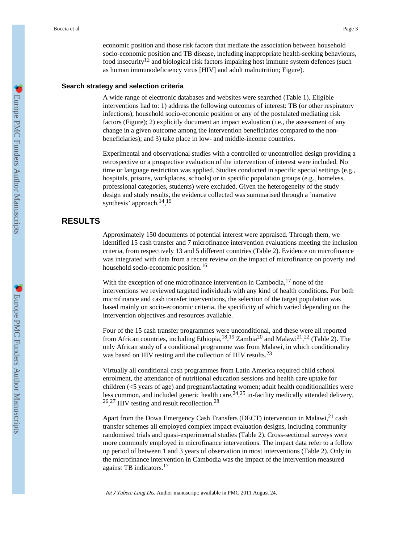economic position and those risk factors that mediate the association between household socio-economic position and TB disease, including inappropriate health-seeking behaviours, food insecurity<sup>12</sup> and biological risk factors impairing host immune system defences (such as human immunodeficiency virus [HIV] and adult malnutrition; Figure).

### **Search strategy and selection criteria**

A wide range of electronic databases and websites were searched (Table 1). Eligible interventions had to: 1) address the following outcomes of interest: TB (or other respiratory infections), household socio-economic position or any of the postulated mediating risk factors (Figure); 2) explicitly document an impact evaluation (i.e., the assessment of any change in a given outcome among the intervention beneficiaries compared to the nonbeneficiaries); and 3) take place in low- and middle-income countries.

Experimental and observational studies with a controlled or uncontrolled design providing a retrospective or a prospective evaluation of the intervention of interest were included. No time or language restriction was applied. Studies conducted in specific special settings (e.g., hospitals, prisons, workplaces, schools) or in specific population groups (e.g., homeless, professional categories, students) were excluded. Given the heterogeneity of the study design and study results, the evidence collected was summarised through a 'narrative synthesis' approach.<sup>14</sup>,<sup>15</sup>

## **RESULTS**

Approximately 150 documents of potential interest were appraised. Through them, we identified 15 cash transfer and 7 microfinance intervention evaluations meeting the inclusion criteria, from respectively 13 and 5 different countries (Table 2). Evidence on microfinance was integrated with data from a recent review on the impact of microfinance on poverty and household socio-economic position.<sup>16</sup>

With the exception of one microfinance intervention in Cambodia,<sup>17</sup> none of the interventions we reviewed targeted individuals with any kind of health conditions. For both microfinance and cash transfer interventions, the selection of the target population was based mainly on socio-economic criteria, the specificity of which varied depending on the intervention objectives and resources available.

Four of the 15 cash transfer programmes were unconditional, and these were all reported from African countries, including Ethiopia, <sup>18</sup>, <sup>19</sup> Zambia<sup>20</sup> and Malawi<sup>21</sup>, <sup>22</sup> (Table 2). The only African study of a conditional programme was from Malawi, in which conditionality was based on HIV testing and the collection of HIV results.<sup>23</sup>

Virtually all conditional cash programmes from Latin America required child school enrolment, the attendance of nutritional education sessions and health care uptake for children (<5 years of age) and pregnant/lactating women; adult health conditionalities were less common, and included generic health care,  $24,25$  in-facility medically attended delivery,  $26,27$  HIV testing and result recollection.<sup>28</sup>

Apart from the Dowa Emergency Cash Transfers (DECT) intervention in Malawi,<sup>21</sup> cash transfer schemes all employed complex impact evaluation designs, including community randomised trials and quasi-experimental studies (Table 2). Cross-sectional surveys were more commonly employed in microfinance interventions. The impact data refer to a follow up period of between 1 and 3 years of observation in most interventions (Table 2). Only in the microfinance intervention in Cambodia was the impact of the intervention measured against TB indicators.<sup>17</sup>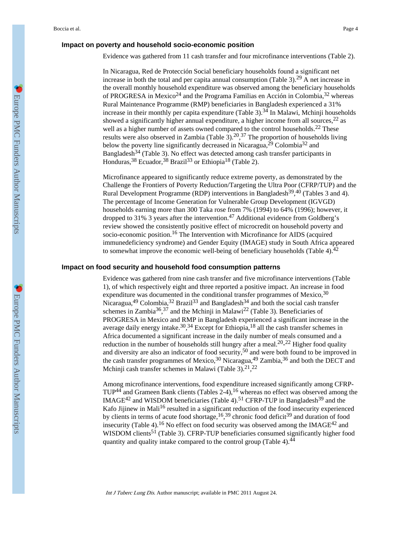## **Impact on poverty and household socio-economic position**

Evidence was gathered from 11 cash transfer and four microfinance interventions (Table 2).

In Nicaragua, Red de Protección Social beneficiary households found a significant net increase in both the total and per capita annual consumption (Table 3).29 A net increase in the overall monthly household expenditure was observed among the beneficiary households of PROGRESA in Mexico<sup>24</sup> and the Programa Familias en Acción in Colombia,<sup>32</sup> whereas Rural Maintenance Programme (RMP) beneficiaries in Bangladesh experienced a 31% increase in their monthly per capita expenditure (Table 3).<sup>34</sup> In Malawi, Mchinji households showed a significantly higher annual expenditure, a higher income from all sources,  $22$  as well as a higher number of assets owned compared to the control households.<sup>22</sup> These results were also observed in Zambia (Table 3).<sup>20</sup>,<sup>37</sup> The proportion of households living below the poverty line significantly decreased in Nicaragua,<sup>29</sup> Colombia<sup>32</sup> and Bangladesh<sup>34</sup> (Table 3). No effect was detected among cash transfer participants in Honduras,<sup>38</sup> Ecuador,<sup>38</sup> Brazil<sup>33</sup> or Ethiopia<sup>18</sup> (Table 2).

Microfinance appeared to significantly reduce extreme poverty, as demonstrated by the Challenge the Frontiers of Poverty Reduction/Targeting the Ultra Poor (CFRP/TUP) and the Rural Development Programme (RDP) interventions in Bangladesh<sup>39</sup>,<sup>40</sup> (Tables 3 and 4). The percentage of Income Generation for Vulnerable Group Development (IGVGD) households earning more than 300 Taka rose from 7% (1994) to 64% (1996); however, it dropped to 31% 3 years after the intervention.<sup>47</sup> Additional evidence from Goldberg's review showed the consistently positive effect of microcredit on household poverty and socio-economic position.<sup>16</sup> The Intervention with Microfinance for AIDS (acquired immunedeficiency syndrome) and Gender Equity (IMAGE) study in South Africa appeared to somewhat improve the economic well-being of beneficiary households (Table 4). $^{42}$ 

#### **Impact on food security and household food consumption patterns**

Evidence was gathered from nine cash transfer and five microfinance interventions (Table 1), of which respectively eight and three reported a positive impact. An increase in food expenditure was documented in the conditional transfer programmes of Mexico,  $30$ Nicaragua,<sup>49</sup> Colombia,<sup>32</sup> Brazil<sup>33</sup> and Bangladesh<sup>34</sup> and both the social cash transfer schemes in Zambia<sup>36</sup>,<sup>37</sup> and the Mchinji in Malawi<sup>22</sup> (Table 3). Beneficiaries of PROGRESA in Mexico and RMP in Bangladesh experienced a significant increase in the average daily energy intake.<sup>30</sup>,<sup>34</sup> Except for Ethiopia,<sup>18</sup> all the cash transfer schemes in Africa documented a significant increase in the daily number of meals consumed and a reduction in the number of households still hungry after a meal.<sup>20</sup>-<sup>22</sup> Higher food quality and diversity are also an indicator of food security,  $50$  and were both found to be improved in the cash transfer programmes of Mexico,<sup>30</sup> Nicaragua,<sup>49</sup> Zambia,<sup>36</sup> and both the DECT and Mchinji cash transfer schemes in Malawi (Table 3).<sup>21</sup>,<sup>22</sup>

Among microfinance interventions, food expenditure increased significantly among CFRP-TUP $^{44}$  and Grameen Bank clients (Tables 2-4),<sup>16</sup> whereas no effect was observed among the IMAGE<sup>42</sup> and WISDOM beneficiaries (Table 4).<sup>51</sup> CFRP-TUP in Bangladesh<sup>39</sup> and the Kafo Jijinew in Mali<sup>16</sup> resulted in a significant reduction of the food insecurity experienced by clients in terms of acute food shortage, <sup>16</sup>,<sup>39</sup> chronic food deficit<sup>39</sup> and duration of food insecurity (Table 4).<sup>16</sup> No effect on food security was observed among the IMAGE<sup>42</sup> and WISDOM clients<sup>51</sup> (Table 3). CFRP-TUP beneficiaries consumed significantly higher food quantity and quality intake compared to the control group (Table 4).<sup>44</sup>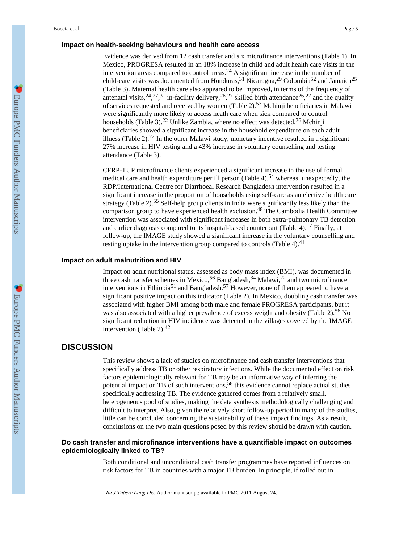## **Impact on health-seeking behaviours and health care access**

Evidence was derived from 12 cash transfer and six microfinance interventions (Table 1). In Mexico, PROGRESA resulted in an 18% increase in child and adult health care visits in the intervention areas compared to control areas.<sup>24</sup> A significant increase in the number of child-care visits was documented from Honduras,<sup>31</sup> Nicaragua,<sup>29</sup> Colombia<sup>52</sup> and Jamaica<sup>25</sup> (Table 3). Maternal health care also appeared to be improved, in terms of the frequency of antenatal visits,  $24, 27, 31$  in-facility delivery,  $26, 27$  skilled birth attendance  $26, 27$  and the quality of services requested and received by women (Table 2).53 Mchinji beneficiaries in Malawi were significantly more likely to access heath care when sick compared to control households (Table 3).<sup>22</sup> Unlike Zambia, where no effect was detected,  $36$  Mchinji beneficiaries showed a significant increase in the household expenditure on each adult illness (Table 2).<sup>22</sup> In the other Malawi study, monetary incentive resulted in a significant 27% increase in HIV testing and a 43% increase in voluntary counselling and testing attendance (Table 3).

CFRP-TUP microfinance clients experienced a significant increase in the use of formal medical care and health expenditure per ill person (Table 4),<sup>54</sup> whereas, unexpectedly, the RDP/International Centre for Diarrhoeal Research Bangladesh intervention resulted in a significant increase in the proportion of households using self-care as an elective health care strategy (Table 2).<sup>55</sup> Self-help group clients in India were significantly less likely than the comparison group to have experienced health exclusion.<sup>48</sup> The Cambodia Health Committee intervention was associated with significant increases in both extra-pulmonary TB detection and earlier diagnosis compared to its hospital-based counterpart (Table 4).<sup>17</sup> Finally, at follow-up, the IMAGE study showed a significant increase in the voluntary counselling and testing uptake in the intervention group compared to controls (Table 4). $41$ 

## **Impact on adult malnutrition and HIV**

Impact on adult nutritional status, assessed as body mass index (BMI), was documented in three cash transfer schemes in Mexico,<sup>56</sup> Bangladesh,<sup>34</sup> Malawi,<sup>22</sup> and two microfinance interventions in Ethiopia<sup>51</sup> and Bangladesh.<sup>57</sup> However, none of them appeared to have a significant positive impact on this indicator (Table 2). In Mexico, doubling cash transfer was associated with higher BMI among both male and female PROGRESA participants, but it was also associated with a higher prevalence of excess weight and obesity (Table 2).<sup>56</sup> No significant reduction in HIV incidence was detected in the villages covered by the IMAGE intervention (Table 2). $42$ 

## **DISCUSSION**

This review shows a lack of studies on microfinance and cash transfer interventions that specifically address TB or other respiratory infections. While the documented effect on risk factors epidemiologically relevant for TB may be an informative way of inferring the potential impact on TB of such interventions,58 this evidence cannot replace actual studies specifically addressing TB. The evidence gathered comes from a relatively small, heterogeneous pool of studies, making the data synthesis methodologically challenging and difficult to interpret. Also, given the relatively short follow-up period in many of the studies, little can be concluded concerning the sustainability of these impact findings. As a result, conclusions on the two main questions posed by this review should be drawn with caution.

## **Do cash transfer and microfinance interventions have a quantifiable impact on outcomes epidemiologically linked to TB?**

Both conditional and unconditional cash transfer programmes have reported influences on risk factors for TB in countries with a major TB burden. In principle, if rolled out in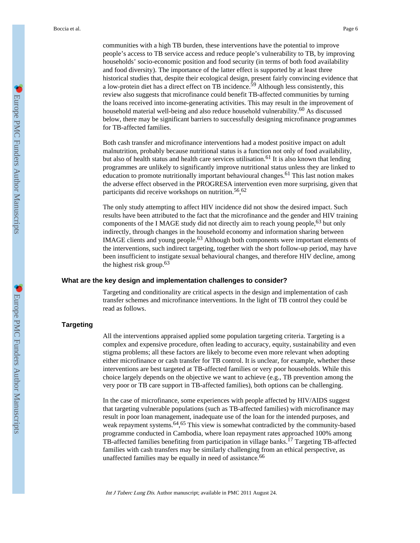communities with a high TB burden, these interventions have the potential to improve people's access to TB service access and reduce people's vulnerability to TB, by improving households' socio-economic position and food security (in terms of both food availability and food diversity). The importance of the latter effect is supported by at least three historical studies that, despite their ecological design, present fairly convincing evidence that a low-protein diet has a direct effect on TB incidence.59 Although less consistently, this review also suggests that microfinance could benefit TB-affected communities by turning the loans received into income-generating activities. This may result in the improvement of household material well-being and also reduce household vulnerability.<sup>60</sup> As discussed below, there may be significant barriers to successfully designing microfinance programmes for TB-affected families.

Both cash transfer and microfinance interventions had a modest positive impact on adult malnutrition, probably because nutritional status is a function not only of food availability, but also of health status and health care services utilisation.<sup>61</sup> It is also known that lending programmes are unlikely to significantly improve nutritional status unless they are linked to education to promote nutritionally important behavioural changes.<sup>61</sup> This last notion makes the adverse effect observed in the PROGRESA intervention even more surprising, given that participants did receive workshops on nutrition.<sup>56</sup>,<sup>62</sup>

The only study attempting to affect HIV incidence did not show the desired impact. Such results have been attributed to the fact that the microfinance and the gender and HIV training components of the I MAGE study did not directly aim to reach young people,63 but only indirectly, through changes in the household economy and information sharing between IMAGE clients and young people.63 Although both components were important elements of the interventions, such indirect targeting, together with the short follow-up period, may have been insufficient to instigate sexual behavioural changes, and therefore HIV decline, among the highest risk group.<sup>63</sup>

#### **What are the key design and implementation challenges to consider?**

Targeting and conditionality are critical aspects in the design and implementation of cash transfer schemes and microfinance interventions. In the light of TB control they could be read as follows.

## **Targeting**

All the interventions appraised applied some population targeting criteria. Targeting is a complex and expensive procedure, often leading to accuracy, equity, sustainability and even stigma problems; all these factors are likely to become even more relevant when adopting either microfinance or cash transfer for TB control. It is unclear, for example, whether these interventions are best targeted at TB-affected families or very poor households. While this choice largely depends on the objective we want to achieve (e.g., TB prevention among the very poor or TB care support in TB-affected families), both options can be challenging.

In the case of microfinance, some experiences with people affected by HIV/AIDS suggest that targeting vulnerable populations (such as TB-affected families) with microfinance may result in poor loan management, inadequate use of the loan for the intended purposes, and weak repayment systems.<sup>64</sup>,<sup>65</sup> This view is somewhat contradicted by the community-based programme conducted in Cambodia, where loan repayment rates approached 100% among TB-affected families benefiting from participation in village banks.<sup>17</sup> Targeting TB-affected families with cash transfers may be similarly challenging from an ethical perspective, as unaffected families may be equally in need of assistance.<sup>66</sup>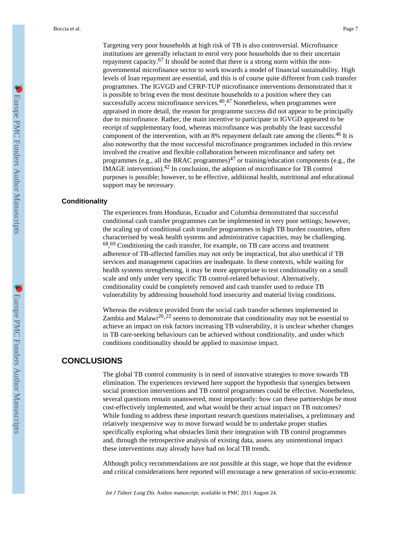Targeting very poor households at high risk of TB is also controversial. Microfinance institutions are generally reluctant to enrol very poor households due to their uncertain repayment capacity.<sup>67</sup> It should be noted that there is a strong norm within the nongovernmental microfinance sector to work towards a model of financial sustainability. High levels of loan repayment are essential, and this is of course quite different from cash transfer programmes. The IGVGD and CFRP-TUP microfinance interventions demonstrated that it is possible to bring even the most destitute households to a position where they can successfully access microfinance services. $40,47$  Nonetheless, when programmes were appraised in more detail, the reason for programme success did not appear to be principally due to microfinance. Rather, the main incentive to participate in IGVGD appeared to be receipt of supplementary food, whereas microfinance was probably the least successful component of the intervention, with an 8% repayment default rate among the clients.<sup>46</sup> It is also noteworthy that the most successful microfinance programmes included in this review involved the creative and flexible collaboration between microfinance and safety net programmes (e.g., all the BRAC programmes)<sup>47</sup> or training/education components (e.g., the IMAGE intervention).42 In conclusion, the adoption of microfinance for TB control purposes is possible; however, to be effective, additional health, nutritional and educational support may be necessary.

#### **Conditionality**

The experiences from Honduras, Ecuador and Columbia demonstrated that successful conditional cash transfer programmes can be implemented in very poor settings; however, the scaling up of conditional cash transfer programmes in high TB burden countries, often characterised by weak health systems and administrative capacities, may be challenging. 68 , <sup>69</sup> Conditioning the cash transfer, for example, on TB care access and treatment adherence of TB-affected families may not only be impractical, but also unethical if TB services and management capacities are inadequate. In these contexts, while waiting for health systems strengthening, it may be more appropriate to test conditionality on a small scale and only under very specific TB control-related behaviour. Alternatively, conditionality could be completely removed and cash transfer used to reduce TB vulnerability by addressing household food insecurity and material living conditions.

Whereas the evidence provided from the social cash transfer schemes implemented in Zambia and Malawi<sup>20</sup>-<sup>22</sup> seems to demonstrate that conditionality may not be essential to achieve an impact on risk factors increasing TB vulnerability, it is unclear whether changes in TB care-seeking behaviours can be achieved without conditionality, and under which conditions conditionality should be applied to maximise impact.

## **CONCLUSIONS**

The global TB control community is in need of innovative strategies to move towards TB elimination. The experiences reviewed here support the hypothesis that synergies between social protection interventions and TB control programmes could be effective. Nonetheless, several questions remain unanswered, most importantly: how can these partnerships be most cost-effectively implemented, and what would be their actual impact on TB outcomes? While funding to address these important research questions materialises, a preliminary and relatively inexpensive way to move forward would be to undertake proper studies specifically exploring what obstacles limit their integration with TB control programmes and, through the retrospective analysis of existing data, assess any unintentional impact these interventions may already have had on local TB trends.

Although policy recommendations are not possible at this stage, we hope that the evidence and critical considerations here reported will encourage a new generation of socio-economic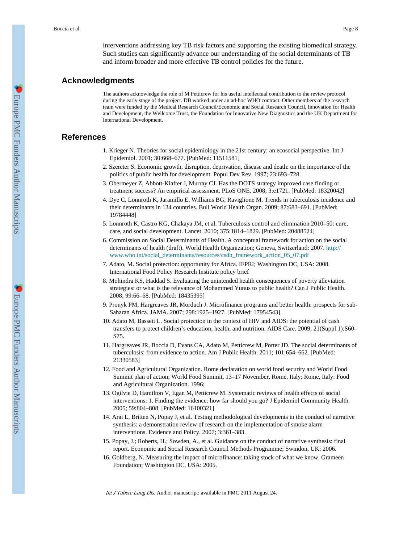interventions addressing key TB risk factors and supporting the existing biomedical strategy. Such studies can significantly advance our understanding of the social determinants of TB and inform broader and more effective TB control policies for the future.

## **Acknowledgments**

The authors acknowledge the role of M Petticrew for his useful intellectual contribution to the review protocol during the early stage of the project. DB worked under an ad-hoc WHO contract. Other members of the research team were funded by the Medical Research Council/Economic and Social Research Council, Innovation for Health and Development, the Wellcome Trust, the Foundation for Innovative New Diagnostics and the UK Department for International Development.

## **References**

- 1. Krieger N. Theories for social epidemiology in the 21st century: an ecosocial perspective. Int J Epidemiol. 2001; 30:668–677. [PubMed: 11511581]
- 2. Szereter S. Economic growth, disruption, deprivation, disease and death: on the importance of the politics of public health for development. Popul Dev Rev. 1997; 23:693–728.
- 3. Obermeyer Z, Abbott-Klafter J, Murray CJ. Has the DOTS strategy improved case finding or treatment success? An empirical assessment. PLoS ONE. 2008; 3:e1721. [PubMed: 18320042]
- 4. Dye C, Lonnroth K, Jaramillo E, Williams BG, Raviglione M. Trends in tuberculosis incidence and their determinants in 134 countries. Bull World Health Organ. 2009; 87:683–691. [PubMed: 19784448]
- 5. Lonnroth K, Castro KG, Chakaya JM, et al. Tuberculosis control and elimination 2010–50: cure, care, and social development. Lancet. 2010; 375:1814–1829. [PubMed: 20488524]
- 6. Commission on Social Determinants of Health. A conceptual framework for action on the social determinants of health (draft). World Health Organization; Geneva, Switzerland: 2007. [http://](http://www.who.int/social_determinants/resources/csdh_framework_action_05_07.pdf) [www.who.int/social\\_determinants/resources/csdh\\_framework\\_action\\_05\\_07.pdf](http://www.who.int/social_determinants/resources/csdh_framework_action_05_07.pdf)
- 7. Adato, M. Social protection: opportunity for Africa. IFPRI; Washington DC, USA: 2008. International Food Policy Research Institute policy brief
- 8. Mohindra KS, Haddad S. Evaluating the unintended health consequences of poverty alleviation strategies: or what is the relevance of Mohammed Yunus to public health? Can J Public Health. 2008; 99:66–68. [PubMed: 18435395]
- 9. Pronyk PM, Hargreaves JR, Morduch J. Microfinance programs and better health: prospects for sub-Saharan Africa. JAMA. 2007; 298:1925–1927. [PubMed: 17954543]
- 10. Adato M, Bassett L. Social protection in the context of HIV and AIDS: the potential of cash transfers to protect children's education, health, and nutrition. AIDS Care. 2009; 21(Suppl 1):S60– S75.
- 11. Hargreaves JR, Boccia D, Evans CA, Adato M, Petticrew M, Porter JD. The social determinants of tuberculosis: from evidence to action. Am J Public Health. 2011; 101:654–662. [PubMed: 21330583]
- 12. Food and Agricultural Organization. Rome declaration on world food security and World Food Summit plan of action; World Food Summit, 13–17 November, Rome, Italy; Rome, Italy: Food and Agricultural Organization. 1996;
- 13. Ogilvie D, Hamilton V, Egan M, Petticrew M. Systematic reviews of health effects of social interventions: 1. Finding the evidence: how far should you go? J Epidemiol Community Health. 2005; 59:804–808. [PubMed: 16100321]
- 14. Arai L, Britten N, Popay J, et al. Testing methodological developments in the conduct of narrative synthesis: a demonstration review of research on the implementation of smoke alarm interventions. Evidence and Policy. 2007; 3:361–383.
- 15. Popay, J.; Roberts, H.; Sowden, A., et al. Guidance on the conduct of narrative synthesis: final report. Economic and Social Research Council Methods Programme; Swindon, UK: 2006.
- 16. Goldberg, N. Measuring the impact of microfinance: taking stock of what we know. Grameen Foundation; Washington DC, USA: 2005.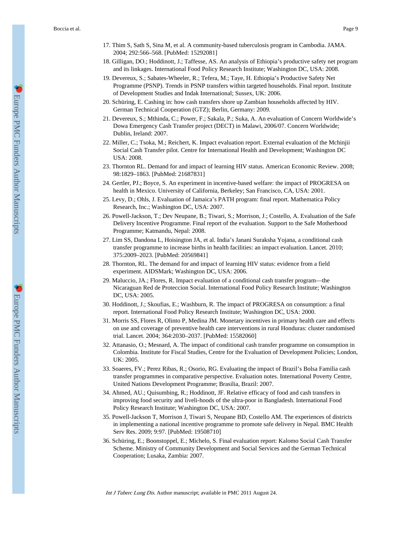- 17. Thim S, Sath S, Sina M, et al. A community-based tuberculosis program in Cambodia. JAMA. 2004; 292:566–568. [PubMed: 15292081]
- 18. Gilligan, DO.; Hoddinott, J.; Taffesse, AS. An analysis of Ethiopia's productive safety net program and its linkages. International Food Policy Research Institute; Washington DC, USA: 2008.
- 19. Devereux, S.; Sabates-Wheeler, R.; Tefera, M.; Taye, H. Ethiopia's Productive Safety Net Programme (PSNP). Trends in PSNP transfers within targeted households. Final report. Institute of Development Studies and Indak International; Sussex, UK: 2006.
- 20. Schüring, E. Cashing in: how cash transfers shore up Zambian households affected by HIV. German Technical Cooperation (GTZ); Berlin, Germany: 2009.
- 21. Devereux, S.; Mthinda, C.; Power, F.; Sakala, P.; Suka, A. An evaluation of Concern Worldwide's Dowa Emergency Cash Transfer project (DECT) in Malawi, 2006/07. Concern Worldwide; Dublin, Ireland: 2007.
- 22. Miller, C.; Tsoka, M.; Reichert, K. Impact evaluation report. External evaluation of the Mchinjii Social Cash Transfer pilot. Centre for International Health and Development; Washington DC USA: 2008.
- 23. Thornton RL. Demand for and impact of learning HIV status. American Economic Review. 2008; 98:1829–1863. [PubMed: 21687831]
- 24. Gertler, PJ.; Boyce, S. An experiment in incentive-based welfare: the impact of PROGRESA on health in Mexico. University of California, Berkeley; San Francisco, CA, USA: 2001.
- 25. Levy, D.; Ohls, J. Evaluation of Jamaica's PATH program: final report. Mathematica Policy Research, Inc.; Washington DC, USA: 2007.
- 26. Powell-Jackson, T.; Dev Neupane, B.; Tiwari, S.; Morrison, J.; Costello, A. Evaluation of the Safe Delivery Incentive Programme. Final report of the evaluation. Support to the Safe Motherhood Programme; Katmandu, Nepal: 2008.
- 27. Lim SS, Dandona L, Hoisington JA, et al. India's Janani Suraksha Yojana, a conditional cash transfer programme to increase births in health facilities: an impact evaluation. Lancet. 2010; 375:2009–2023. [PubMed: 20569841]
- 28. Thornton, RL. The demand for and impact of learning HIV status: evidence from a field experiment. AIDSMark; Washington DC, USA: 2006.
- 29. Maluccio, JA.; Flores, R. Impact evaluation of a conditional cash transfer program—the Nicaraguan Red de Proteccion Social. International Food Policy Research Institute; Washington DC, USA: 2005.
- 30. Hoddinott, J.; Skoufias, E.; Washburn, R. The impact of PROGRESA on consumption: a final report. International Food Policy Research Institute; Washington DC, USA: 2000.
- 31. Morris SS, Flores R, Olinto P, Medina JM. Monetary incentives in primary health care and effects on use and coverage of preventive health care interventions in rural Honduras: cluster randomised trial. Lancet. 2004; 364:2030–2037. [PubMed: 15582060]
- 32. Attanasio, O.; Mesnard, A. The impact of conditional cash transfer programme on consumption in Colombia. Institute for Fiscal Studies, Centre for the Evaluation of Development Policies; London, UK: 2005.
- 33. Soaeres, FV.; Perez Ribas, R.; Osorio, RG. Evaluating the impact of Brazil's Bolsa Familia cash transfer programmes in comparative perspective. Evaluation notes. International Poverty Centre, United Nations Development Programme; Brasilia, Brazil: 2007.
- 34. Ahmed, AU.; Quisumbing, R.; Hoddinott, JF. Relative efficacy of food and cash transfers in improving food security and liveli-hoods of the ultra-poor in Bangladesh. International Food Policy Research Institute; Washington DC, USA: 2007.
- 35. Powell-Jackson T, Morrison J, Tiwari S, Neupane BD, Costello AM. The experiences of districts in implementing a national incentive programme to promote safe delivery in Nepal. BMC Health Serv Res. 2009; 9:97. [PubMed: 19508710]
- 36. Schüring, E.; Boonstoppel, E.; Michelo, S. Final evaluation report: Kalomo Social Cash Transfer Scheme. Ministry of Community Development and Social Services and the German Technical Cooperation; Lusaka, Zambia: 2007.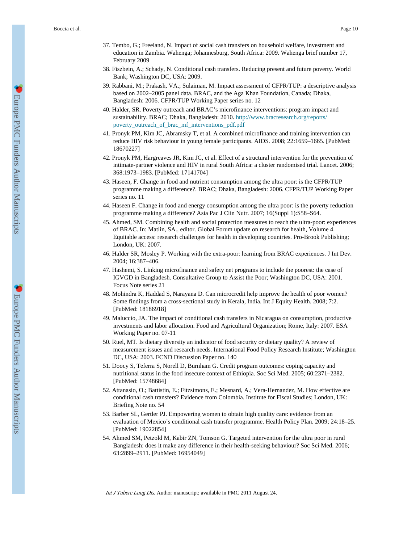- 37. Tembo, G.; Freeland, N. Impact of social cash transfers on household welfare, investment and education in Zambia. Wahenga; Johannesburg, South Africa: 2009. Wahenga brief number 17, February 2009
- 38. Fiszbein, A.; Schady, N. Conditional cash transfers. Reducing present and future poverty. World Bank; Washington DC, USA: 2009.
- 39. Rabbani, M.; Prakash, VA.; Sulaiman, M. Impact assessment of CFPR/TUP: a descriptive analysis based on 2002–2005 panel data. BRAC, and the Aga Khan Foundation, Canada; Dhaka, Bangladesh: 2006. CFPR/TUP Working Paper series no. 12
- 40. Halder, SR. Poverty outreach and BRAC's microfinance interventions: program impact and sustainability. BRAC; Dhaka, Bangladesh: 2010. [http://www.bracresearch.org/reports/](http://www.bracresearch.org/reports/poverty_outreach_of_brac_mf_interventions_pdf.pdf) [poverty\\_outreach\\_of\\_brac\\_mf\\_interventions\\_pdf.pdf](http://www.bracresearch.org/reports/poverty_outreach_of_brac_mf_interventions_pdf.pdf)
- 41. Pronyk PM, Kim JC, Abramsky T, et al. A combined microfinance and training intervention can reduce HIV risk behaviour in young female participants. AIDS. 2008; 22:1659–1665. [PubMed: 18670227]
- 42. Pronyk PM, Hargreaves JR, Kim JC, et al. Effect of a structural intervention for the prevention of intimate-partner violence and HIV in rural South Africa: a cluster randomised trial. Lancet. 2006; 368:1973–1983. [PubMed: 17141704]
- 43. Haseen, F. Change in food and nutrient consumption among the ultra poor: is the CFPR/TUP programme making a difference?. BRAC; Dhaka, Bangladesh: 2006. CFPR/TUP Working Paper series no. 11
- 44. Haseen F. Change in food and energy consumption among the ultra poor: is the poverty reduction programme making a difference? Asia Pac J Clin Nutr. 2007; 16(Suppl 1):S58–S64.
- 45. Ahmed, SM. Combining health and social protection measures to reach the ultra-poor: experiences of BRAC. In: Matlin, SA., editor. Global Forum update on research for health, Volume 4. Equitable access: research challenges for health in developing countries. Pro-Brook Publishing; London, UK: 2007.
- 46. Halder SR, Mosley P. Working with the extra-poor: learning from BRAC experiences. J Int Dev. 2004; 16:387–406.
- 47. Hashemi, S. Linking microfinance and safety net programs to include the poorest: the case of IGVGD in Bangladesh. Consultative Group to Assist the Poor; Washington DC, USA: 2001. Focus Note series 21
- 48. Mohindra K, Haddad S, Narayana D. Can microcredit help improve the health of poor women? Some findings from a cross-sectional study in Kerala, India. Int J Equity Health. 2008; 7:2. [PubMed: 18186918]
- 49. Maluccio, JA. The impact of conditional cash transfers in Nicaragua on consumption, productive investments and labor allocation. Food and Agricultural Organization; Rome, Italy: 2007. ESA Working Paper no. 07-11
- 50. Ruel, MT. Is dietary diversity an indicator of food security or dietary quality? A review of measurement issues and research needs. International Food Policy Research Institute; Washington DC, USA: 2003. FCND Discussion Paper no. 140
- 51. Doocy S, Teferra S, Norell D, Burnham G. Credit program outcomes: coping capacity and nutritional status in the food insecure context of Ethiopia. Soc Sci Med. 2005; 60:2371–2382. [PubMed: 15748684]
- 52. Attanasio, O.; Battistin, E.; Fitzsimons, E.; Mesnard, A.; Vera-Hernandez, M. How effective are conditional cash transfers? Evidence from Colombia. Institute for Fiscal Studies; London, UK: Briefing Note no. 54
- 53. Barber SL, Gertler PJ. Empowering women to obtain high quality care: evidence from an evaluation of Mexico's conditional cash transfer programme. Health Policy Plan. 2009; 24:18–25. [PubMed: 19022854]
- 54. Ahmed SM, Petzold M, Kabir ZN, Tomson G. Targeted intervention for the ultra poor in rural Bangladesh: does it make any difference in their health-seeking behaviour? Soc Sci Med. 2006; 63:2899–2911. [PubMed: 16954049]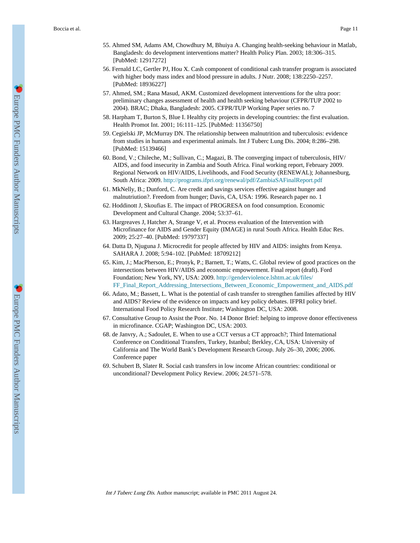- 55. Ahmed SM, Adams AM, Chowdhury M, Bhuiya A. Changing health-seeking behaviour in Matlab, Bangladesh: do development interventions matter? Health Policy Plan. 2003; 18:306–315. [PubMed: 12917272]
- 56. Fernald LC, Gertler PJ, Hou X. Cash component of conditional cash transfer program is associated with higher body mass index and blood pressure in adults. J Nutr. 2008; 138:2250–2257. [PubMed: 18936227]
- 57. Ahmed, SM.; Rana Masud, AKM. Customized development interventions for the ultra poor: preliminary changes assessment of health and health seeking behaviour (CFPR/TUP 2002 to 2004). BRAC; Dhaka, Bangladesh: 2005. CFPR/TUP Working Paper series no. 7
- 58. Harpham T, Burton S, Blue I. Healthy city projects in developing countries: the first evaluation. Health Promot Int. 2001; 16:111–125. [PubMed: 11356750]
- 59. Cegielski JP, McMurray DN. The relationship between malnutrition and tuberculosis: evidence from studies in humans and experimental animals. Int J Tuberc Lung Dis. 2004; 8:286–298. [PubMed: 15139466]
- 60. Bond, V.; Chileche, M.; Sullivan, C.; Magazi, B. The converging impact of tuberculosis, HIV/ AIDS, and food insecurity in Zambia and South Africa. Final working report, February 2009. Regional Network on HIV/AIDS, Livelihoods, and Food Security (RENEWAL); Johannesburg, South Africa: 2009.<http://programs.ifpri.org/renewal/pdf/ZambiaSAFinalReport.pdf>
- 61. MkNelly, B.; Dunford, C. Are credit and savings services effective against hunger and malnutriution?. Freedom from hunger; Davis, CA, USA: 1996. Research paper no. 1
- 62. Hoddinott J, Skoufias E. The impact of PROGRESA on food consumption. Economic Development and Cultural Change. 2004; 53:37–61.
- 63. Hargreaves J, Hatcher A, Strange V, et al. Process evaluation of the Intervention with Microfinance for AIDS and Gender Equity (IMAGE) in rural South Africa. Health Educ Res. 2009; 25:27–40. [PubMed: 19797337]
- 64. Datta D, Njuguna J. Microcredit for people affected by HIV and AIDS: insights from Kenya. SAHARA J. 2008; 5:94–102. [PubMed: 18709212]
- 65. Kim, J.; MacPherson, E.; Pronyk, P.; Barnett, T.; Watts, C. Global review of good practices on the intersections between HIV/AIDS and economic empowerment. Final report (draft). Ford Foundation; New York, NY, USA: 2009. [http://genderviolence.lshtm.ac.uk/files/](http://genderviolence.lshtm.ac.uk/files/FF_Final_Report_Addressing_Intersections_Between_Economic_Empowerment_and_AIDS.pdf) [FF\\_Final\\_Report\\_Addressing\\_Intersections\\_Between\\_Economic\\_Empowerment\\_and\\_AIDS.pdf](http://genderviolence.lshtm.ac.uk/files/FF_Final_Report_Addressing_Intersections_Between_Economic_Empowerment_and_AIDS.pdf)
- 66. Adato, M.; Bassett, L. What is the potential of cash transfer to strengthen families affected by HIV and AIDS? Review of the evidence on impacts and key policy debates. IFPRI policy brief. International Food Policy Research Institute; Washington DC, USA: 2008.
- 67. Consultative Group to Assist the Poor. No. 14 Donor Brief: helping to improve donor effectiveness in microfinance. CGAP; Washington DC, USA: 2003.
- 68. de Janvry, A.; Sadoulet, E. When to use a CCT versus a CT approach?; Third International Conference on Conditional Transfers, Turkey, Istanbul; Berkley, CA, USA: University of California and The World Bank's Development Research Group. July 26–30, 2006; 2006. Conference paper
- 69. Schubert B, Slater R. Social cash transfers in low income African countries: conditional or unconditional? Development Policy Review. 2006; 24:571–578.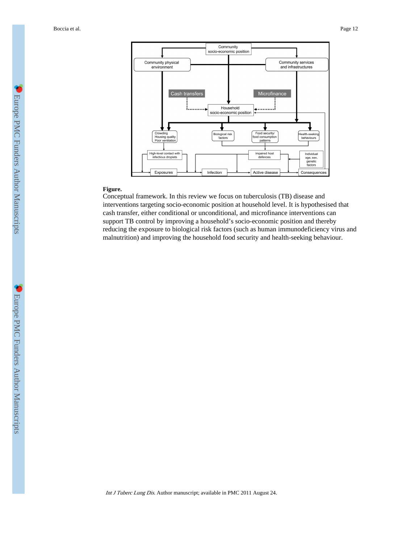

#### **Figure.**

Conceptual framework. In this review we focus on tuberculosis (TB) disease and interventions targeting socio-economic position at household level. It is hypothesised that cash transfer, either conditional or unconditional, and microfinance interventions can support TB control by improving a household's socio-economic position and thereby reducing the exposure to biological risk factors (such as human immunodeficiency virus and malnutrition) and improving the household food security and health-seeking behaviour.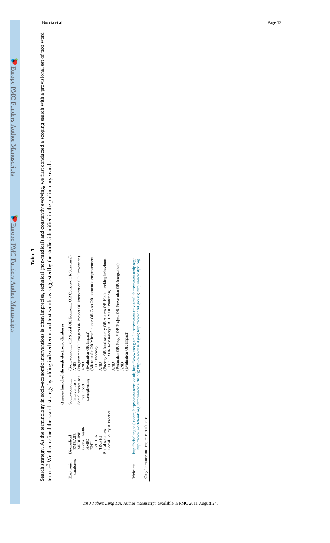# **Table 1**

Search strategy. As the terminology in socio-economic interventions is often imprecise, technical (non-medical) and constantly evolving, we first conducted a scoping search with a provisional set of text word Search strategy. As the terminology in socio-economic interventions is often imprecise, technical (non-medical) and constantly evolving, we first conducted a scoping search with a provisional set of text word terms.<sup>13</sup> We then refined the search strategy by adding indexed terms and text words as suggested by the studies identified in the preliminary search. terms.13 We then refined the search strategy by adding indexed terms and text words as suggested by the studies identified in the preliminary search.

|                         |                                                                                                                                                          |                                                                                      | Queries launched through electronic databases                                                                                                                                                                                                                                                                                                                                                                                                                                                                    |
|-------------------------|----------------------------------------------------------------------------------------------------------------------------------------------------------|--------------------------------------------------------------------------------------|------------------------------------------------------------------------------------------------------------------------------------------------------------------------------------------------------------------------------------------------------------------------------------------------------------------------------------------------------------------------------------------------------------------------------------------------------------------------------------------------------------------|
| databases<br>Electronic | Social Policy & Practice<br>Global Health<br>Social sciences<br><b>MEDLINE</b><br>EMBASE<br><b>DoPHER</b><br>Biomedical<br><b>TRoPHI</b><br>HMIC<br>EPPI | Social protection/<br>Socio-economic<br>strengthening<br>interventions<br>livelihood | (Socioeconomic OR Social OR Economic OR Complex OR Structural)<br>(Programme OR Program OR Project OR Intervention OR Prevention)<br>AND<br>(Microcredit OR Microfi nance OR Cash OR economic empowerment<br>Poverty OR food security OR Access OR Health-seeking behaviours<br>(Reduction OR Progr* OR Project OR Prevention OR Integration)<br>OR TB OR Respiratory OR HIV OR Nutrition)<br>(Evaluation OR Impact)<br>(Evaluation OR Impact)<br>OR Income)<br><b>QNV</b><br>Ş<br>$\overline{AB}$<br><b>AND</b> |
| Websites                |                                                                                                                                                          |                                                                                      | http://scholar.google.com, http://www.omni.ac.uk; http://www.sosig.ac.uk; http://www.eelv.ac.uk; http://www.undp.org;<br>http://www.worldbank.org, http://www.eldis.org, http://www.usaid.gov, http://www.dfid.gov.uk; http://www.ifpri.org                                                                                                                                                                                                                                                                      |
|                         | Grey literature and expert consultation                                                                                                                  |                                                                                      |                                                                                                                                                                                                                                                                                                                                                                                                                                                                                                                  |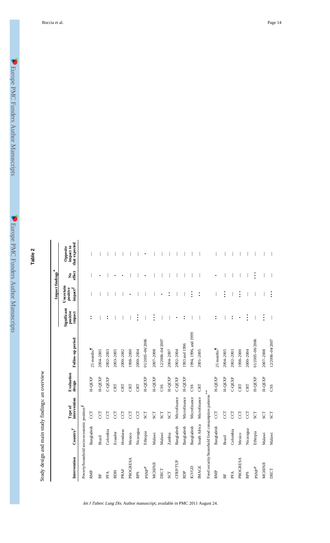**Table 2**

Study design and main study findings: an overview Study design and main study findings: an overview

|                                                        |                            |                         |                      |                        |                                   | Impact findings*                                   |                                 |                                        |
|--------------------------------------------------------|----------------------------|-------------------------|----------------------|------------------------|-----------------------------------|----------------------------------------------------|---------------------------------|----------------------------------------|
| Intervention                                           | $\text{Country}^{\dagger}$ | intervention<br>Type of | Evaluation<br>design | Follow-up period       | Significant<br>positive<br>impact | Uncertain<br>$\mbox{impact}^{\dagger}$<br>positive | $_{\rm{e\acute{e}t}}^{\rm{No}}$ | that expected<br>impact to<br>Opposite |
| Poverty/household socio-economic position <sup>§</sup> |                            |                         |                      |                        |                                   |                                                    |                                 |                                        |
| RMP                                                    | Bangladesh                 | E                       | H-QEXP               | $25$ months $%$        |                                   |                                                    |                                 |                                        |
| B <sub>F</sub>                                         | <b>Brazil</b>              | ECL                     | H-QEXP               | 2004-2005              |                                   |                                                    |                                 |                                        |
| PFA                                                    | Colombia                   | <b>ECC</b>              | C-QEXP               | 2002-2003              |                                   |                                                    |                                 |                                        |
| <b>HOR</b>                                             | Ecuador                    | 5C                      | <b>CRT</b>           | 2003-2005              |                                   |                                                    |                                 |                                        |
| PRAF                                                   | Honduras                   | 5D                      | CRT                  | 2000-2002              |                                   |                                                    |                                 |                                        |
| PROGRESA                                               | Mexico                     | 5<br>S                  | CRT                  | 1998-2000              |                                   |                                                    |                                 |                                        |
| RPS                                                    | Nicaragua                  | 5<br>S                  | CRT                  | 2000-2004              |                                   |                                                    |                                 |                                        |
| $\ensuremath{\mathsf{PSNP}}^\#$                        | Ethiopia                   | SCT                     | H-QEXP               | 01/2005-06/2006        |                                   |                                                    |                                 |                                        |
| MCHINJI                                                | Malawi                     | <b>SCT</b>              | H-QEXP               | 2007-2008              |                                   |                                                    |                                 |                                        |
| DECT                                                   | Malawi                     | SCT                     | $\mathsf{CS}$        | 12/2006-04/2007        |                                   |                                                    |                                 |                                        |
| SCT                                                    | Zambia                     | <b>SCT</b>              | H-QEXP               | 2004-2007              |                                   |                                                    |                                 |                                        |
| CFRP/TUP                                               | Bangladesh                 | Microfinance            | C-QEXP               | 2002-2004              |                                   |                                                    |                                 |                                        |
| RDP                                                    | Bangladesh                 | Microfinance            | H-QEXP               | 1993 and 1996          |                                   |                                                    |                                 |                                        |
| <b>IGVGD</b>                                           | Bangladesh                 | Microfinance            | CSS                  | 1994, 1996, and 1999   |                                   |                                                    |                                 |                                        |
| <b>IMAGE</b>                                           | South Africa               | Microfinance            | <b>CRT</b>           | 2001-2005              |                                   |                                                    |                                 |                                        |
| Food security/household food consumption patterns **   |                            |                         |                      |                        |                                   |                                                    |                                 |                                        |
| RMP                                                    | Bangladesh                 | E                       | H-QEXP               | $25$ months $\!\! \pi$ |                                   |                                                    |                                 |                                        |
| B <sub>F</sub>                                         | Brazil                     | ECL                     | H-QEXP               | 2004-2005              |                                   | $\vdots$                                           |                                 |                                        |
| PFA                                                    | Colombia                   | E                       | C-QEXP               | 2002-2003              |                                   |                                                    |                                 |                                        |
| PROGRESA                                               | Mexico                     | E                       | CRT                  | 1998-2000              |                                   | $\vdots$                                           |                                 |                                        |
| SdB                                                    | Nicaragua                  | <b>CCT</b>              | CRT                  | 2000-2004              |                                   |                                                    |                                 |                                        |
| $\ensuremath{\mathsf{PSNP}}^\#$                        | Ethiopia                   | SCT                     | H-QEXP               | 01/2005-06/2006        |                                   |                                                    | $\ddot{\cdot}$                  |                                        |
| MCHINJI                                                | Malawi                     | SCT                     | H-QEXP               | 2007-2008              |                                   |                                                    |                                 |                                        |
| DECT                                                   | Malawi                     | <b>SCT</b>              | $\mathsf{CSS}$       | 12/2006-04/2007        |                                   | $\vdots$                                           |                                 |                                        |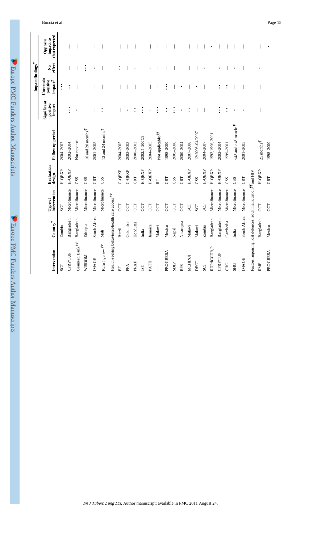|                                                                        |                          |                         |                         |                                  |                                   | Impact findings*                                      |                 |                                        |
|------------------------------------------------------------------------|--------------------------|-------------------------|-------------------------|----------------------------------|-----------------------------------|-------------------------------------------------------|-----------------|----------------------------------------|
| Intervention                                                           | $\text{Country}^\dagger$ | intervention<br>Type of | Evaluation<br>design    | Follow-up period                 | Significant<br>positive<br>impact | Uncertain<br>$\mathbf{impact}^{\ddagger}$<br>positive | $E_{\text{et}}$ | that expected<br>impact to<br>Opposite |
| 5CT                                                                    | Zambia                   | 5CT                     | H-QEXP                  | 2004–2007                        |                                   |                                                       |                 |                                        |
| CFRP/TUP                                                               | Bangladesh               | Microfinance            | H-QEXP                  | 2002-2004                        | $\vdots$                          | $\ddot{\cdot}$                                        |                 |                                        |
| Grameen Bank $^{\mathcal{FT}}$                                         | Bangladesh               | Microfinance            | CSS                     | Not reported                     |                                   |                                                       |                 |                                        |
| <b>WISDOM</b>                                                          | Ethiopia                 | Microfinance            | CSS                     | $10$ and $20$ months $\!\!/\!\!$ |                                   |                                                       |                 |                                        |
| <b>IMAGE</b>                                                           | South Africa             | Microfinance            | CRT                     | 2001-2005                        |                                   |                                                       |                 |                                        |
| Kafo Jigenew $^{\ensuremath{\mathcal{T}}\ensuremath{\mathcal{T}}}$     | Mali                     | Microfinance            | CSS                     | 12 and 24 months $\sqrt[n]{\ }$  |                                   |                                                       |                 |                                        |
| Health-seeking behaviours/health care access <sup>77</sup>             |                          |                         |                         |                                  |                                   |                                                       |                 |                                        |
| B <sub>F</sub>                                                         | Brazil                   | 5<br>S                  | C-QEXP                  | 2004-2005                        |                                   |                                                       |                 |                                        |
| PFA                                                                    | Colombia                 | 5<br>S                  | C-QEXP                  | 2002-2003                        |                                   |                                                       |                 |                                        |
| PRAF                                                                   | Honduras                 | 5<br>S                  | CRT                     | 2000-2002                        |                                   |                                                       |                 |                                        |
| ISY                                                                    | India                    | 5<br>S                  | H-QEXP                  | 2002/4-2007/9                    |                                   |                                                       |                 |                                        |
| PATH                                                                   | Jamaica                  | 5                       | H-QEXP                  | 2004-2005                        |                                   |                                                       |                 |                                        |
|                                                                        | Malawi                   | <b>SCL</b>              | $\overline{\mathbf{R}}$ | Not applicable <sup>\$\$</sup>   |                                   |                                                       |                 |                                        |
| PROGRESA                                                               | Mexico                   | <b>CCT</b>              | CRT                     | 1998-2000                        |                                   |                                                       |                 |                                        |
| SDIP                                                                   | Nepal                    | <b>SCL</b>              | CSS                     | 2005-2008                        |                                   |                                                       |                 |                                        |
| <b>RPS</b>                                                             | Nicaragua                | <b>SC</b>               | E                       | 2000-2004                        |                                   |                                                       |                 |                                        |
| MCHINJI                                                                | Malawi                   | SCT                     | H-QEXP                  | 2007-2008                        |                                   |                                                       |                 |                                        |
| DECT                                                                   | Malawi                   | SCT                     | CSS                     | 12/2006-04/2007                  |                                   |                                                       |                 |                                        |
| <b>SCT</b>                                                             | Zambia                   | SCT                     | H-QEXP                  | 2004-2007                        |                                   |                                                       |                 |                                        |
| RDP/ICCDR,P                                                            | Bangladesh               | Microfinance            | H-QEXP                  | 1992, 1996, 2001                 |                                   |                                                       |                 |                                        |
| CFRP/TUP                                                               | Bangladesh               | Microfinance            | H-QEXP                  | 2002-2004                        |                                   |                                                       |                 |                                        |
| EC                                                                     | Cambodia                 | Microfinance            | $\mathsf{CS}$           | 1999-2001                        |                                   |                                                       |                 |                                        |
| <b>SHG</b>                                                             | India                    | Microfinance            | CSS                     | $48$ and >48 months $\sqrt{ }$   |                                   |                                                       |                 |                                        |
| <b>IMAGE</b>                                                           | South Africa             | Microfinance            | CRT                     | 2001-2005                        |                                   |                                                       |                 |                                        |
| Factors impairing host defences: adult malnutrition $\rlap{M}$ and HIV |                          |                         |                         |                                  |                                   |                                                       |                 |                                        |
| <b>RMP</b>                                                             | Bangladesh               | <b>CCT</b>              | H-QEXP                  | $25$ months $\rlap{0}^\prime$    |                                   |                                                       |                 |                                        |
| PROGRESA                                                               | Mexico                   | <b>SC</b>               | CRT                     | 1998-2000                        |                                   |                                                       |                 |                                        |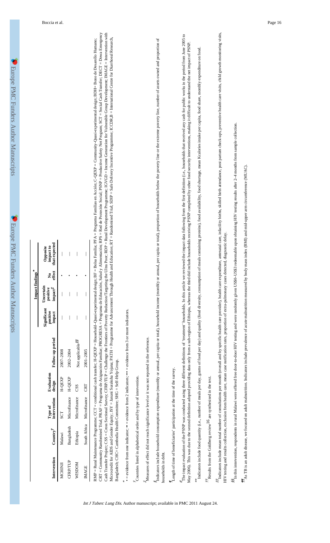| ۱<br>j<br>I                                                                                                                                                        |
|--------------------------------------------------------------------------------------------------------------------------------------------------------------------|
| ļ<br>I                                                                                                                                                             |
| Į<br>in a bhliain an chuid an chuid an chuid an chuid an chuid an chuid an chuid an chuid an chuid an chuid an chuid<br>I                                          |
| ֠<br>l<br>i<br>I                                                                                                                                                   |
| l<br>I                                                                                                                                                             |
| l<br>֖֖֖֪ׅׅׅ֪֪֪ׅ֪֪֪ׅ֖֧֪ׅ֖֧֪֪ׅ֪֪֪֪֪֪֪֪֪֪֪֪֪֪֪֪֪֪֪֪֪֪֪֪֪֪֪֪֪֪֪֪֪ׅ֛֚֚֚֚֚֚֚֚֚֚֚֚֚֚֚֚֚֚֚֚֚֚֡֝֝֝֬֝֬֝֬֝֬֝֬֝֬                                                              |
| <b>Service Service</b>                                                                                                                                             |
|                                                                                                                                                                    |
|                                                                                                                                                                    |
|                                                                                                                                                                    |
| I<br>l<br>l                                                                                                                                                        |
| l<br>į<br>I<br>I<br>Į                                                                                                                                              |
| l<br>l<br>in the season<br>i<br>I                                                                                                                                  |
| l<br>ļ<br>$\mathbf{r}$<br>I<br>l                                                                                                                                   |
| in the control of the control of the control of the control of the control of the control of the control of th<br>- 1<br>- 1<br>- 1<br>- 1<br>- 1<br>- 1<br>֚<br>i |

|               |                     |                                |        |                                                            |                                             | Impact fin                      | ndings <sup>*</sup> |                                               |
|---------------|---------------------|--------------------------------|--------|------------------------------------------------------------|---------------------------------------------|---------------------------------|---------------------|-----------------------------------------------|
| Intervention  | $Countrv^{\dagger}$ |                                |        | Type of Evaluation<br>intervention design Follow-up period | Significant Uncertain<br>positive<br>impact | positive<br>$im$ pact $\vec{r}$ | ž                   | effect that expected<br>Opposite<br>impact to |
| MCHINJI       | Malawi              | SCT                            | H-QEXP | 2007-2008                                                  |                                             |                                 |                     |                                               |
| CFRP/TUP      |                     | Bangladesh Microfinance H-QEXP |        | 2002-2004                                                  |                                             |                                 |                     | I                                             |
| <b>MISDOM</b> | Ethiopia            | Microfinance CSS               |        | Not applicable <sup>55</sup>                               | I                                           | l                               |                     | I                                             |
| <b>IMAGE</b>  |                     | South Africa Microfinance CRT  |        | $2001 - 2005$                                              |                                             |                                 |                     | I                                             |

Cash Transfer Project; CSS = Cross Sectional Survey; CFRP/TUP = Challenge the Fromtiers of Poverty Reduction/Targeting the Ultra Poor; RDP = Rural Development Programme; IGVGD = Income Generation for Vulnerable Group Devel CRT = Community Randomised Trial; PRAF = Programa de Asignación Familiar; PROGRESA = Programa de Educación, Salud y Alimentación; RPS = Red de Proteción Social; PSNP = Productive Safety Net Program; SCT = Social Cash Trans CRT = Community Randomised Trial; PRAF = Programa de Asignación Familiar; PROGrama de Rograma de Rodion, Salld y Alimentación; RPS = Red de Productive Sallety Net Program; SCT = Social Cash Transfer; DECT = Dowa Emergency Cash Transfer Project; CERP/TUP = Challenge the Frontiers of Poverty Reduction Targeting the Ultra Pope Reduction Targeting the Ultra Poor; Reper Programme; ICS Vulnerable Group Development; IMAGE = Intervention with Microcredit for AIDS and Gender Equity; JSY = Janani Suraksha Yojana; PATH = Programme for Advancement Through Health and Education; RT = Randomised Trial; SDIP = Safe Delivery Incentive Programme; ICCDR,B = International Microcredit for AIDS and Gender Equity, JSY = Janani Suraksha Yojana; PATH = Programme for Advancement Through Health and Education; RT = Randomised Trial; SDIP = Safe Delivery Incentive Programme; ICCDR,B = International RMP = Rural Maintenance Programme; CCT = conditional cash transfer; H-QEXP = Household-Quasi-experimental design; BF = Bolsa Familia; PFA = Programa Familias en Acción; C-QEXP = Community-Quasi-experimental design; BDH= Bo Bangladesh; CHC= Cambodia Health Committee; SHG = Self-Help Group. Bangladesh; CHC= Cambodia Health Committee; SHG = Self-Help Group.

• = evidence from one indicator; •• = evidence from 2 indicators; ••• = evidence from 3 or more indicators.  $\bullet$  = evidence from one indicator;  $\bullet\bullet$  = evidence from 2 indicators;  $\bullet\bullet\bullet$  = evidence from 3 or more indicators.

\*

Countries listed in alphabetical order and by type of intervention. Countries listed in alphabetical order and by type of intervention.

 $^t\!M$ easures of effect did not reach significance level or it was not reported in the reference.  $*$  Measures of effect did not reach significance level or it was not reported in the reference.

Indicators include household consumption expenditure (monthly or annual), household income (monthly or annual, per capita or total), proportion of households below the poverty line or the extreme poverty line, number of as "Indicators include household consumption expenditure (monthly or annual, per capita or total), household income (monthly or annual, per capita or total), proportion of households below the poverty line or the extreme pov households in debt. households in debt

 $\mathbb{Z}_{\text{Length of time of benefits' participation at the time of the survey.}$ Length of time of beneficiaries' participation at the time of the survey  $^{\#}$ The impact evaluation of the PSNP was conducted using three different definitions of 'treatment' households. In this article we reviewed the impact data following from the first definition (i.e., households that rec The impact evaluation of the PSNP was conducted using three different definitions of 'treatment' households. In this article we reviewed the impact data following from the first definition (i.e., households that received May 2006). This was due to the second definition adopted providing data only from a sub-region of Ethiopia, whereas the third did include households receiving PSNP completed by other food security interventions, making it May 2006). This was due to the second definition adopted providing data only from a sub-region of Ethiopia, whereas the third did include households receiving PSNP completed by other food security interventions, making it

\*\* dicators include food quantity (i.e., number of meals per day, grams of food quality (food diversity, consumption of meals containing proteins), food availability, food shortage, mean Kcalories intake per capita, food s Indicators include food quantity (i.e., number of meals per day, grams of food per day) and quality (food diversity, consumption of meals containing proteins), food availability, food shortage, mean Kcalones intake per cap

 $t^2$  Results from the Goldberg review <sup>16</sup> are synthesised in the text.  $t<sup>2</sup>$ Results from the Goldberg review<sup>16</sup> are synthesised in the text.

 $t_{\text{m}}$  induce mean total number of consultations per month (overall and by specific health care provider), health care expenditure, antenatal care, infacility births, skilled birth attendance, post partum check-ups, pr  $\#$  adicators include mean total number of consultations per month (overall and by specific health care provider), health care expenditure, antenatal care, infacility births, skilled birth attendance, post partum check-u HIV testing and results collection, exclusion from health care, mean case notification rates, proportion of extra-pulmonary cases detected, diagnostic delay. HIV testing and results collection, exclusion from health care, mean case notification rates, proportion of extra-pulmonary cases detected, diagnostic delay.

 ${}^{\delta}\!\delta$ n this intervention, respondents in rural Malawi were offered free door-to-door HIV testing and were randomly given US\$0-US\$3 redeemable upon obtaining HIV testing results after 2–4 months from sample collection.  $^{8}\!\!\hat{s}$  In this intervention, respondents in rural Malawi were offered free door-to-door HIV testing and were randomly given US\$0–US\$3 redeemable upon obtaining HIV testing results after 2–4 months from sample collecti

 $M_{AS}$  TB is an adult disease, we focused on adult malnutrition. Indicators include prevalence of acute malnutrition measured by body mass index (BMI) and mid-upper arm circumference (MUAC).  $^{m}$ As TB is an adult disease, we focused on adult malnutrition. Indicators include prevalence of acute malnutrition measured by body mass index (BMI) and mid-upper arm circumference (MUAC).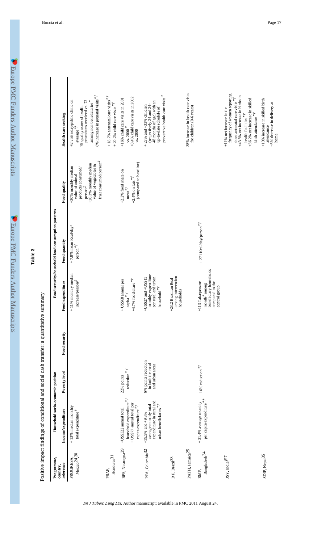| I<br>l<br>l<br>Ì<br>I                                                                                                                                                                                                                                  |
|--------------------------------------------------------------------------------------------------------------------------------------------------------------------------------------------------------------------------------------------------------|
| ļ<br>ļ<br> <br> <br>                                                                                                                                                                                                                                   |
| $\overline{\mathcal{L}}$<br>Į<br>ļ<br>Í                                                                                                                                                                                                                |
| Í<br>l<br>j                                                                                                                                                                                                                                            |
| 1. 自我的 可以对象<br>ׇ֚֬<br>in the company of the company of the company of the company of the company of the company of the company of the company of the company of the company of the company of the company of the company of the company of the compa   |
| <b>Continued in the continued in the continued in the continued in the continued in the continued in the continued in the continued in the continued in the continued in the continued in the continued in the continued in the </b><br>$\overline{1}$ |
|                                                                                                                                                                                                                                                        |
|                                                                                                                                                                                                                                                        |
|                                                                                                                                                                                                                                                        |
| j<br>I<br><b>Control</b>                                                                                                                                                                                                                               |
| ļ                                                                                                                                                                                                                                                      |
| <br> <br> <br> <br>$\overline{\mathcal{L}}$<br>$\overline{a}$<br>Í                                                                                                                                                                                     |
| $5 - 5 = 5$<br>I<br>l                                                                                                                                                                                                                                  |
| l<br>l<br>$\mathbf{r}$                                                                                                                                                                                                                                 |
| ֚֚֚֬<br>֚                                                                                                                                                                                                                                              |
| ļ<br>I                                                                                                                                                                                                                                                 |

**Table 3**

Positive impact findings of conditional and social cash transfer: a quantitative summary Positive impact findings of conditional and social cash transfer: a quantitative summary

| Programme,                           | Household socio-economic position                                                                                                    |                                                             |               |                                                                                                                                 | Food security/household food consumption patterns   |                                                                                                                                                                                  |                                                                                                                                                                                                                                                                            |
|--------------------------------------|--------------------------------------------------------------------------------------------------------------------------------------|-------------------------------------------------------------|---------------|---------------------------------------------------------------------------------------------------------------------------------|-----------------------------------------------------|----------------------------------------------------------------------------------------------------------------------------------------------------------------------------------|----------------------------------------------------------------------------------------------------------------------------------------------------------------------------------------------------------------------------------------------------------------------------|
| reference<br>country,                | Income/expenditure                                                                                                                   | Poverty level                                               | Food security | Food expenditure                                                                                                                | Food quantity                                       | Food quality                                                                                                                                                                     | Health care seeking                                                                                                                                                                                                                                                        |
| Mexico <sup>24</sup> ,30<br>PROGRESA | +13% median monthly<br>total expenditure $\vec{r}$                                                                                   |                                                             |               | $+11\%$ monthly median<br>increase/person <sup>#</sup>                                                                          | $+7.8\%$ mean Kcal/day/<br>person $^{\ast \dagger}$ | fruit consumed/person <sup>#</sup><br>$+16.3%$ monthly median<br>value of vegetables &<br>+30% monthly median<br>products consumed/<br>value of animal<br>$person^{\mathcal{I}}$ | 8% increase in prenatal visits $*^+$<br>+2 visits/day/public clinic on<br>procedures received vs. 72<br>among non-beneficiaries <sup>*</sup><br>78 quality score of health<br>average                                                                                      |
| $\rm Honduras^{\rm 31}$<br>PRAF,     |                                                                                                                                      |                                                             |               |                                                                                                                                 |                                                     |                                                                                                                                                                                  | $+18.7\%$ antenatal care visits $*7$<br>$+20.2\%$ child care visits $*7$                                                                                                                                                                                                   |
| RPS, Nicaragua <sup>29</sup>         | household expenditure $*^{\dagger}$<br>+ US\$77 annual total per<br>capita expenditure $^{\ast \! \! \tau}$<br>+US\$322 annual total | reduction ${}^{\ast}$ ${}^{\mathcal{r}}$<br>22% points      |               | $+4.7\%$ food share $^{*7^{\circ}}$<br>+ US\$68 annual per<br>capita $^{\ast\,\neq}$                                            |                                                     | (compared to baseline)<br>$+2.2%$ food share on<br>$+2.4\%$ on fats $^{*+}$<br>meat $^{\ast +}$                                                                                  | $+8.4\%$ child care visits in 2002<br>+16% child care visits in 2001<br>vs. $2000$ <sup>*</sup><br>vs. 2000                                                                                                                                                                |
| PFA, Colombia <sup>32</sup>          | expenditure in rural and<br>average monthly total<br>urban beneficiaries $*^{\dagger}$<br>+19.5% and +9.3%                           | 6% points reduction<br>in both the rural<br>and urban areas |               | $+$ US\$27 and $+$ US\$15<br>monthly expenditure<br>per rural and urban<br>household ${}^{\ast\!}\vec{ }$                       |                                                     |                                                                                                                                                                                  | preventive health care visits *<br>48 months of age) with an<br>(respectively 24 and 24-<br>$+23%$ and $+33%$ children<br>up-to-date schedule of                                                                                                                           |
| $B$ F, Brazil $^{33}$                |                                                                                                                                      |                                                             |               | among intervention<br>+23.2 Brazilian Real<br>households                                                                        |                                                     |                                                                                                                                                                                  |                                                                                                                                                                                                                                                                            |
| PATH, Jamaica <sup>25</sup>          |                                                                                                                                      |                                                             |               |                                                                                                                                 |                                                     |                                                                                                                                                                                  | 38% increase in health care visits<br>for children (0-6 years)                                                                                                                                                                                                             |
| $\bf Banglades h^{34}$<br>RMP.       | $+$ 31.4% average monthly<br>per capita expenditure $\sqrt[x]{t}$                                                                    | 16% reduction $^{\ast\! \tau}$                              |               | benefi ciary households<br>+113 Taka/person/<br>compared to the<br>$\mathrm{month}^{\,\tau} \, \mathrm{among}$<br>control group | + 271 Kcal/day/person $*^{\dagger}$                 |                                                                                                                                                                                  |                                                                                                                                                                                                                                                                            |
| $\text{JSY}, \text{India}\$^{27}$    |                                                                                                                                      |                                                             |               |                                                                                                                                 |                                                     |                                                                                                                                                                                  | frequency of women reporting<br>+43.5% net increase in births in<br>three antenatal care visits $*$ <sup>+</sup><br>+36.2% net increase in skilled<br>$+11\%$ net increase in the<br>birth attendance ${}^{\ast\!}\!\!{}^{\dot\tau}$<br>health facilities ${}^*\!\dot\tau$ |
| SDIP, Nepal <sup>35</sup>            |                                                                                                                                      |                                                             |               |                                                                                                                                 |                                                     |                                                                                                                                                                                  | +13% increase in skilled birth<br>$-5%$ decrease in delivery at home<br>attendance                                                                                                                                                                                         |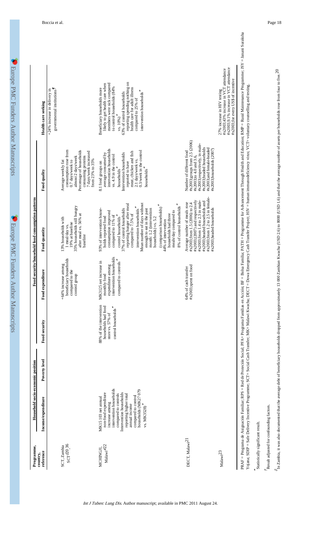| Programme,                                                | Household socio-economic position                                                                                                                                                                                                                    |               |                                                                                           |                                                                                                                  | Food security/household food consumption patterns                                                                                                                                                                                                                                                                                                                                                                                                                                       |                                                                                                                                                                                                                                                         |                                                                                                                                                                                                                                                                                                           |  |
|-----------------------------------------------------------|------------------------------------------------------------------------------------------------------------------------------------------------------------------------------------------------------------------------------------------------------|---------------|-------------------------------------------------------------------------------------------|------------------------------------------------------------------------------------------------------------------|-----------------------------------------------------------------------------------------------------------------------------------------------------------------------------------------------------------------------------------------------------------------------------------------------------------------------------------------------------------------------------------------------------------------------------------------------------------------------------------------|---------------------------------------------------------------------------------------------------------------------------------------------------------------------------------------------------------------------------------------------------------|-----------------------------------------------------------------------------------------------------------------------------------------------------------------------------------------------------------------------------------------------------------------------------------------------------------|--|
| reference<br>country,                                     | <b>Income/expenditure</b>                                                                                                                                                                                                                            | Poverty level | Food security                                                                             | Food expenditure                                                                                                 | Food quantity                                                                                                                                                                                                                                                                                                                                                                                                                                                                           | Food quality                                                                                                                                                                                                                                            | Health care seeking                                                                                                                                                                                                                                                                                       |  |
|                                                           |                                                                                                                                                                                                                                                      |               |                                                                                           |                                                                                                                  |                                                                                                                                                                                                                                                                                                                                                                                                                                                                                         |                                                                                                                                                                                                                                                         | governmental institutions $\rlap{0}^{\prime\prime}$<br>+24% increase in delivery in                                                                                                                                                                                                                       |  |
| $\mathrm{S}\mathrm{CT}^{\downarrow 20}$ 36<br>SCT, Zambia |                                                                                                                                                                                                                                                      |               |                                                                                           | beneficiary households<br>+64% increase among<br>compared to the<br>control group                                | 35% households still hungry<br>after meal vs. 56% at<br>13% households with<br>19% at baseline<br>1 meal/day vs.<br>baseline                                                                                                                                                                                                                                                                                                                                                            | consumption rose from<br>Percentage of households<br>7 days/week increased<br>consuming proteins<br>almost 2 days/week<br>from 23% to 35%<br>0.7 days/week to<br>Average weekly fat                                                                     |                                                                                                                                                                                                                                                                                                           |  |
| $M$ alawi $#22$<br>MCHINGJI,                              | intervention households<br>households (MK27 079<br>non-food expenditure<br>compared to controls<br>Intervention households<br>reporting higher total<br>compared to control<br>MK15103 net annual<br>increase among<br>annual income<br>vs. MK3528)* |               | 88% of the intervention<br>households had food<br>control households*<br>store vs. 57% of | intervention households<br>compared to controls *<br>MK3125 net increase in<br>expenditure among<br>monthly food | Mean number of days without<br>8% of control households **<br>reporting hunger after meal<br>(comparison households)*<br>intervention households*<br>93% of intervention house-<br>37% of control households<br>enough to eat in the past<br>month: 1.2 (intervention<br>meals/day compared to<br>consumption improved<br>compared to 7.5% of<br>households had three<br>control households*<br>compared to 11% of<br>holds reported food<br>households) vs. 5.2<br>44% of intervention | intervention households<br>$0.3$ /week in the control<br>meat, chicken and fish<br>average consumed by<br>Intervention households<br>vs. 4.9 in the control<br>2.1 days/week vs.<br>8.1 food groups on<br>reported to have<br>households*<br>households | reporting spending nothing on<br>members were sick compared<br>likely to get health care when<br>to control households (84%<br>Beneficiary households more<br>health care for adult illness<br>intervention households **<br>63% of control households<br>compared to 25% of<br>vs. $10\%$ ) <sup>*</sup> |  |
| DECT, Malawi <sup>21</sup>                                |                                                                                                                                                                                                                                                      |               |                                                                                           | #x2003;spent on food<br>64% of cash transfer                                                                     | $\#x2003$ ; from 1.2 to 2.5 in female-<br>$\#x2003$ ; from 1.4 to 2.3 in male-<br>#x2003;(2007) and respectively<br>#x2003;headed households and<br>Average number of meals rose<br>#x2003;from 1.5 (2006) to 2.4<br>#x2003;headed households                                                                                                                                                                                                                                           | #x2003;groups from 2.5 (2006)<br>#x2003;respectively, in male-<br>#x2003;headed households<br>#x2003;and female-headed<br>#x2003;households (2007)<br>Number of different food<br>#x2003;to $4.0$ and 3.6,                                              |                                                                                                                                                                                                                                                                                                           |  |
| $\mbox{Malawi}\mbox{}^{23}$                               |                                                                                                                                                                                                                                                      |               |                                                                                           |                                                                                                                  |                                                                                                                                                                                                                                                                                                                                                                                                                                                                                         |                                                                                                                                                                                                                                                         | #x2003;9.1% increase in VCT attendance<br>27% increase in HIV testing<br>#x2003;43% increase in VCT attendance<br>#x2003;for every US\$ of incentive                                                                                                                                                      |  |

PRAF = Programa de Asignación Familiar; RPS = Red de Proteción Social; PFA= Programa en Acción; BF = Bolsa Familia; PATH = Programme for Advancement Through Health and Education; RMP = Rural Maintenance Programme; JSY = J PRAF = Programa de Asignación Social; PFA = Programa Familias en Acción; BF = Bolsa Familia; PATH = Programme for Advancemme Through Health and Education; RMP = Rural Maintenance Programme; JSY = Janani Suraksha Yojana; SDIP = Safe Delivery Incentive Programme; SCT= Social Cash Transfer; MK= Malawi Kwacha; DECT = Dowa Emergency Cash Transfer Project; HIV = human immunodeficiency virus; VCT= voluntary counselling and testing.

\* Statistically significant result.  $\stackrel{\star}{'}$  Result adjusted for confounding factors. Result adjusted for confounding factors.

 $t_{\rm In}$  Zambia, it was also documented that the average debt of beneficiary households dropped from approximately 13 000 Zambian Kwacha (USD 2.6) to 8000 (USD 1.6) and that the average number of assets per households ros  $t_{\rm In}$  Zambia, it was also documented that the average debt of beneficiary households dropped from approximately 13 000 Zambian Kwacha (USD 2.6) to 8000 (USD 1.6) and that the average number of assets per households ros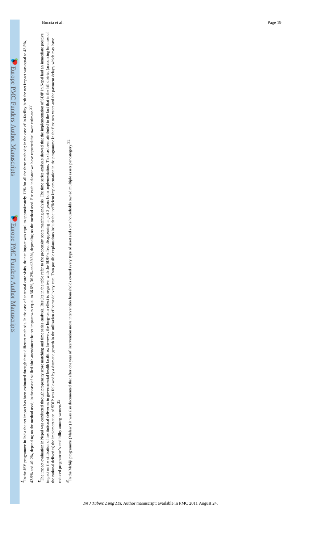In the JSY programme in India the net impact has been estimated through three different methods. In the case of antenatal care visits, the net impact was equal to approximately 11% for all the three methods; in the case of "In the JSY programme in India the net impact has been estimated through three different methods. In the case of antenatal care wisits, the net impact was equal to approximately 11% for all the three methods; in the case 43.9% and 49.2%, depending on the method used; in the case of skilled birth attendance the net impact was equal to 36.6%, 36.2% and 39.3%, depending on the method used. For each indicator we have reported the lower estimat 43.9% and 49.2%, depending on the method used; in the case of skilled birth attendance the net impact was equal to 36.6%, 36.2% and 39.3%, depending on the method used. For each indicator we have reported the lower estimat

impact on the utilisation of institutional deliveries in govermental health facilities; however, the long-term effect is negative, with the SDIP effect disappearing in just 3 years from implementation. This has been attrib The impact evaluation in Nepal was conducted through propensity score matching analysis. The the series analysis in the time series analysis showed that the implementation of SDIP in Nepal had an immediate positive impact on of institutional deliveries in governmental health facilities, however, the long-term effect is negative, with the SDIP effect disappearing in just 3 years from implementation. This has been attributed to the fac The impact evaluation in Nepal was conducted through propensity score matching and ysis, we may accept as a may is a show that the implementation of SDIP in Nepal had an immediate positive the national deliveries) the implementation of SDIP was followed by a dramatic growth in the utilisation of home delivery care. Two possible explanations include the inefficient implementation in the programme in the first

the national deliveries) the implementation of SDIP was followed by a drawing way have

reduced programme's credibility among women.<sup>35</sup> reduced programme's credibility among women.35

 ${}_{\text{In}}^{4}$  the Mchiji programme (Malawi) it was also documented that after one year of intervention more intervention households owned every type of asset and some households owned multiple assets per category.<sup>22</sup> In the Mchiji programme (Malawi) it was also documented that after one year of intervention more intervention households owned every type of asset and some households owned multiple assets per category.<sup>22</sup>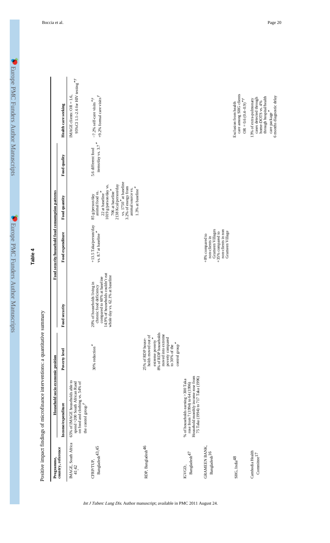| Programme,                                                                             | Household socio-economic position                                                                                                               |                                                                                                                                                                                                    |                                                                                                                                                              | Food security/household food consumption patterns                                                                      |                                                                                                                                                                                                                                                               |                                                   |                                                                                                                                                |
|----------------------------------------------------------------------------------------|-------------------------------------------------------------------------------------------------------------------------------------------------|----------------------------------------------------------------------------------------------------------------------------------------------------------------------------------------------------|--------------------------------------------------------------------------------------------------------------------------------------------------------------|------------------------------------------------------------------------------------------------------------------------|---------------------------------------------------------------------------------------------------------------------------------------------------------------------------------------------------------------------------------------------------------------|---------------------------------------------------|------------------------------------------------------------------------------------------------------------------------------------------------|
| country, reference                                                                     | Income/expenditure                                                                                                                              | Poverty level                                                                                                                                                                                      | security<br>Food                                                                                                                                             | Food expenditure                                                                                                       | Food quantity                                                                                                                                                                                                                                                 | Food quality                                      | Health care seeking                                                                                                                            |
| IMAGE, South Africa<br>41 <sub>,</sub> 42                                              | $65\%$ of IMAGE households able to spend $\times 200$ South African Rand<br>on food and clothing vs. 54% of<br>the control group $\vec{r}$      |                                                                                                                                                                                                    |                                                                                                                                                              |                                                                                                                        |                                                                                                                                                                                                                                                               |                                                   | $95\% \rm{CI}$ 1.1–2.6 for HIV testing $^{*7}$<br>IMAGE clients: $OR = 1.6$ ,                                                                  |
| $\bf Bangladesh^{43}.45$<br>CFRP/TUP,                                                  |                                                                                                                                                 | $30\%$ reduction $^*$                                                                                                                                                                              | 14.9% of households couldn't eat<br>whole day vs. 62.1% at baseline<br>compared to 60% at baseline<br>20% of households living in<br>chronic food deficiency | +13.5 Taka/person/day<br>vs. 8.7 at baseline $*$                                                                       | vs. 1750 <sup>*</sup> at baseline<br>2138 Kcal/person/day<br>1019 g/person/day vs.<br>3.2% of energy from<br>$1.3\%$ at baseline $^{\ast}$<br>animal source vs.<br>$706$ at baseline $\!^*$<br>$22$ at baseline $^\ast$<br>animal food vs.<br>85 g/person/day | items/day vs. 3.7 $^{\ast}$<br>5.6 different food | +9.2% formal care visits $\vec{r}$<br>$-7.2\%$ self-care visits $*7$                                                                           |
| RDP, Bangladesh <sup>46</sup>                                                          |                                                                                                                                                 | extreme poverty $\stackrel{*}{8\%}$ of RDP households<br>moved into extreme<br>holds moved out of<br>poverty compared<br>25% of RDP house-<br>$\operatorname{control}$ group $^*$<br>to 30% of the |                                                                                                                                                              |                                                                                                                        |                                                                                                                                                                                                                                                               |                                                   |                                                                                                                                                |
| $\ensuremath{\mathsf{B}}\xspace$ angladesh $\ensuremath{\mathsf{A}}\xspace7$<br>IGVGD, | Household monthly income rose from<br>75 Taka (1994) to 717 Taka (1996)<br>% of households earning >300 Taka<br>rose from 7 (1994) to 64 (1996) |                                                                                                                                                                                                    |                                                                                                                                                              |                                                                                                                        |                                                                                                                                                                                                                                                               |                                                   |                                                                                                                                                |
| GRAMEEN BANK,<br>$\bf Banglades h^{16}$                                                |                                                                                                                                                 |                                                                                                                                                                                                    |                                                                                                                                                              | Grameen Villages<br>non-clients in non<br>Grameen Village<br>$+35%$ compared to<br>$+8%$ compared to<br>non-clients in |                                                                                                                                                                                                                                                               |                                                   |                                                                                                                                                |
| SHG, India <sup>48</sup>                                                               |                                                                                                                                                 |                                                                                                                                                                                                    |                                                                                                                                                              |                                                                                                                        |                                                                                                                                                                                                                                                               |                                                   | care among SHG clients<br>$\text{OR} = 0.6\ (0.4{-}0.9)^{*\tau}$<br>Exclusion from health                                                      |
| Cambodia Health<br>Committee $\ensuremath{\mathbf{1}}\xspace^7$                        |                                                                                                                                                 |                                                                                                                                                                                                    |                                                                                                                                                              |                                                                                                                        |                                                                                                                                                                                                                                                               |                                                   | 6 months diagnostic delay<br>through hospital/health<br>cases detected through<br>13% of extra-pulmonary<br>home-DOTS vs. 4%<br>care package * |

**C** Europe PMC Funders Author Manuscripts

**Table 4**